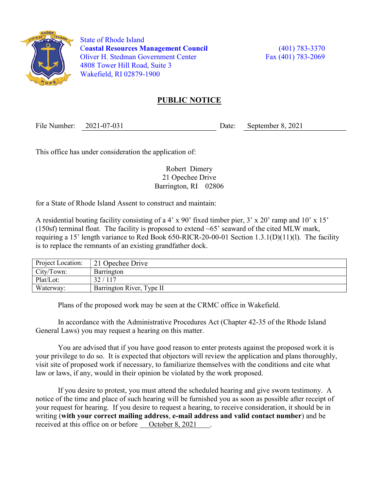

 State of Rhode Island Coastal Resources Management Council (401) 783-3370 Oliver H. Stedman Government Center Fax (401) 783-2069 4808 Tower Hill Road, Suite 3 Wakefield, RI 02879-1900

## PUBLIC NOTICE

File Number: 2021-07-031 Date: September 8, 2021

This office has under consideration the application of:

Robert Dimery 21 Opechee Drive Barrington, RI 02806

for a State of Rhode Island Assent to construct and maintain:

A residential boating facility consisting of a 4' x 90' fixed timber pier, 3' x 20' ramp and 10' x 15' (150sf) terminal float. The facility is proposed to extend  $\sim 65$ ' seaward of the cited MLW mark, requiring a 15' length variance to Red Book 650-RICR-20-00-01 Section 1.3.1(D)(11)(l). The facility is to replace the remnants of an existing grandfather dock.

| Project Location: | 21 Opechee Drive          |
|-------------------|---------------------------|
| City/Town:        | Barrington                |
| Plat/Lot:         | 32/117                    |
| Waterway:         | Barrington River, Type II |

Plans of the proposed work may be seen at the CRMC office in Wakefield.

In accordance with the Administrative Procedures Act (Chapter 42-35 of the Rhode Island General Laws) you may request a hearing on this matter.

You are advised that if you have good reason to enter protests against the proposed work it is your privilege to do so. It is expected that objectors will review the application and plans thoroughly, visit site of proposed work if necessary, to familiarize themselves with the conditions and cite what law or laws, if any, would in their opinion be violated by the work proposed.

If you desire to protest, you must attend the scheduled hearing and give sworn testimony. A notice of the time and place of such hearing will be furnished you as soon as possible after receipt of your request for hearing. If you desire to request a hearing, to receive consideration, it should be in writing (with your correct mailing address, e-mail address and valid contact number) and be received at this office on or before <u>October 8, 2021</u>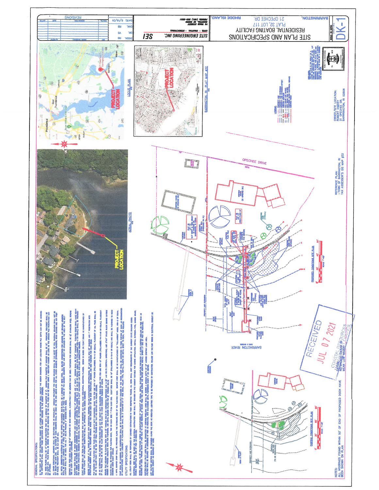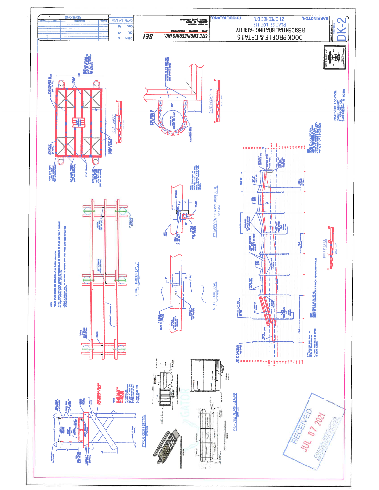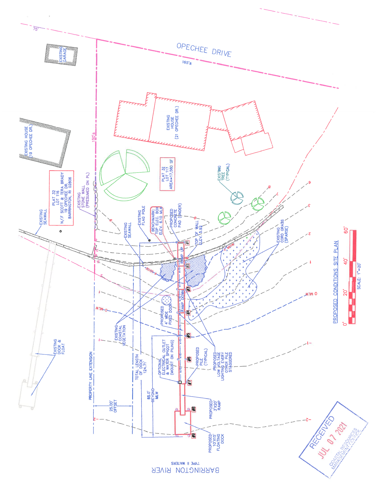